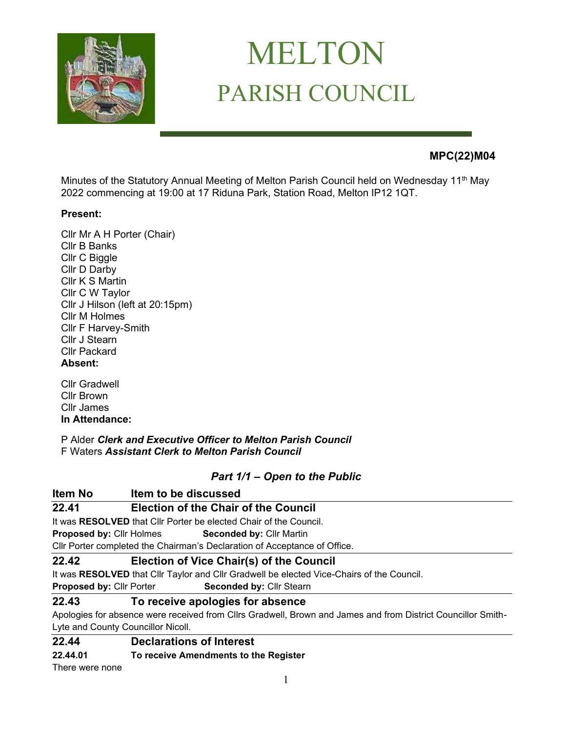

# MELTON PARISH COUNCIL

# **MPC(22)M04**

Minutes of the Statutory Annual Meeting of Melton Parish Council held on Wednesday 11<sup>th</sup> May 2022 commencing at 19:00 at 17 Riduna Park, Station Road, Melton IP12 1QT.

# **Present:**

Cllr Mr A H Porter (Chair) Cllr B Banks Cllr C Biggle Cllr D Darby Cllr K S Martin Cllr C W Taylor Cllr J Hilson (left at 20:15pm) Cllr M Holmes Cllr F Harvey-Smith Cllr J Stearn Cllr Packard **Absent:**

Cllr Gradwell Cllr Brown Cllr James **In Attendance:**

P Alder *Clerk and Executive Officer to Melton Parish Council*  F Waters *Assistant Clerk to Melton Parish Council*

# *Part 1/1 – Open to the Public*

| Item No                            | Item to be discussed                                                                                         |
|------------------------------------|--------------------------------------------------------------------------------------------------------------|
| 22.41                              | <b>Election of the Chair of the Council</b>                                                                  |
|                                    | It was RESOLVED that Cllr Porter be elected Chair of the Council.                                            |
| <b>Proposed by: Cllr Holmes</b>    | <b>Seconded by: Cllr Martin</b>                                                                              |
|                                    | CIIr Porter completed the Chairman's Declaration of Acceptance of Office.                                    |
| 22.42                              | Election of Vice Chair(s) of the Council                                                                     |
|                                    | It was RESOLVED that Cllr Taylor and Cllr Gradwell be elected Vice-Chairs of the Council.                    |
| <b>Proposed by: Cllr Porter</b>    | <b>Seconded by: Cllr Stearn</b>                                                                              |
| 22.43                              | To receive apologies for absence                                                                             |
|                                    | Apologies for absence were received from Cllrs Gradwell, Brown and James and from District Councillor Smith- |
| Lyte and County Councillor Nicoll. |                                                                                                              |
| 22.44                              | <b>Declarations of Interest</b>                                                                              |
| --                                 |                                                                                                              |

#### **22.44.01 To receive Amendments to the Register**

There were none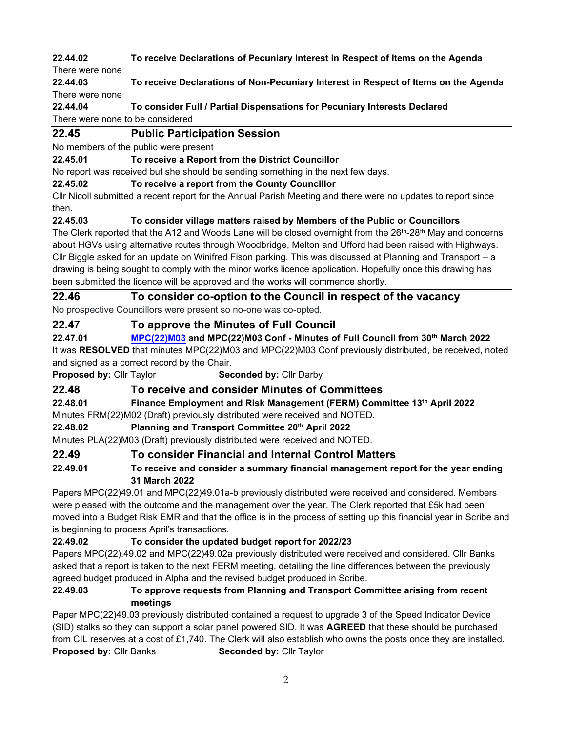**22.44.02 To receive Declarations of Pecuniary Interest in Respect of Items on the Agenda** 

There were none

**22.44.03 To receive Declarations of Non-Pecuniary Interest in Respect of Items on the Agenda** There were none

**22.44.04 To consider Full / Partial Dispensations for Pecuniary Interests Declared** 

There were none to be considered

# **22.45 Public Participation Session**

No members of the public were present

# **22.45.01 To receive a Report from the District Councillor**

No report was received but she should be sending something in the next few days.

**22.45.02 To receive a report from the County Councillor**

Cllr Nicoll submitted a recent report for the Annual Parish Meeting and there were no updates to report since then.

# **22.45.03 To consider village matters raised by Members of the Public or Councillors**

The Clerk reported that the A12 and Woods Lane will be closed overnight from the 26<sup>th</sup>-28<sup>th</sup> May and concerns about HGVs using alternative routes through Woodbridge, Melton and Ufford had been raised with Highways. Cllr Biggle asked for an update on Winifred Fison parking. This was discussed at Planning and Transport – a drawing is being sought to comply with the minor works licence application. Hopefully once this drawing has been submitted the licence will be approved and the works will commence shortly.

# **22.46 To consider co-option to the Council in respect of the vacancy**

No prospective Councillors were present so no-one was co-opted.

# **22.47 To approve the Minutes of Full Council**

**22.47.01 [MPC\(22\)M03](https://melton-suffolk-pc.gov.uk/documents/mpc22m03-minutes-of-full-council-from-30th-march-2022/) and MPC(22)M03 Conf - Minutes of Full Council from 30th March 2022** It was **RESOLVED** that minutes MPC(22)M03 and MPC(22)M03 Conf previously distributed, be received, noted and signed as a correct record by the Chair.

**Proposed by:** Cllr Taylor **Seconded by:** Cllr Darby

# **22.48 To receive and consider Minutes of Committees**

**22.48.01 Finance Employment and Risk Management (FERM) Committee 13th April 2022**

Minutes FRM(22)M02 (Draft) previously distributed were received and NOTED.

**22.48.02 Planning and Transport Committee 20th April 2022**

Minutes PLA(22)M03 (Draft) previously distributed were received and NOTED.

# **22.49 To consider Financial and Internal Control Matters**

# **22.49.01 To receive and consider a summary financial management report for the year ending 31 March 2022**

Papers MPC(22)49.01 and MPC(22)49.01a-b previously distributed were received and considered. Members were pleased with the outcome and the management over the year. The Clerk reported that £5k had been moved into a Budget Risk EMR and that the office is in the process of setting up this financial year in Scribe and is beginning to process April's transactions.

# **22.49.02 To consider the updated budget report for 2022/23**

Papers MPC(22).49.02 and MPC(22)49.02a previously distributed were received and considered. Cllr Banks asked that a report is taken to the next FERM meeting, detailing the line differences between the previously agreed budget produced in Alpha and the revised budget produced in Scribe.

# **22.49.03 To approve requests from Planning and Transport Committee arising from recent meetings**

Paper MPC(22)49.03 previously distributed contained a request to upgrade 3 of the Speed Indicator Device (SID) stalks so they can support a solar panel powered SID. It was **AGREED** that these should be purchased from CIL reserves at a cost of £1,740. The Clerk will also establish who owns the posts once they are installed. **Proposed by:** Cllr Banks **Seconded by:** Cllr Taylor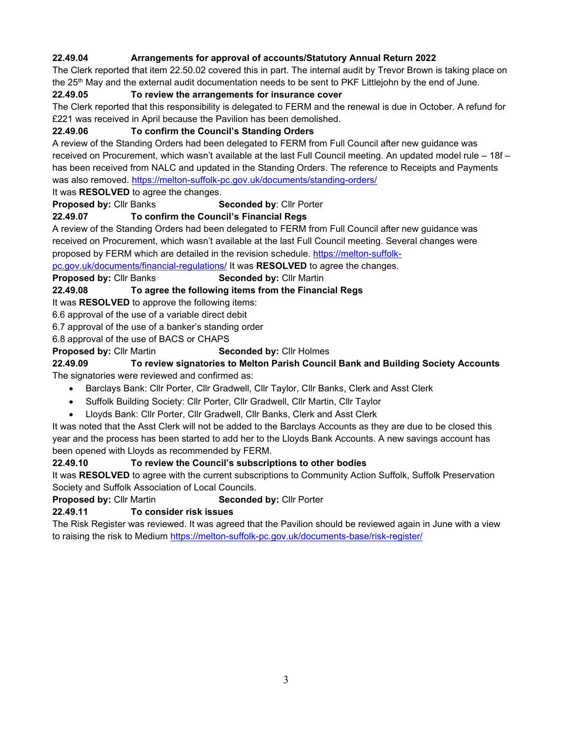# **22.49.04 Arrangements for approval of accounts/Statutory Annual Return 2022**

The Clerk reported that item 22.50.02 covered this in part. The internal audit by Trevor Brown is taking place on the 25<sup>th</sup> May and the external audit documentation needs to be sent to PKF Littlejohn by the end of June.

#### **22.49.05 To review the arrangements for insurance cover**

The Clerk reported that this responsibility is delegated to FERM and the renewal is due in October. A refund for £221 was received in April because the Pavilion has been demolished.

#### **22.49.06 To confirm the Council's Standing Orders**

A review of the Standing Orders had been delegated to FERM from Full Council after new guidance was received on Procurement, which wasn't available at the last Full Council meeting. An updated model rule – 18f – has been received from NALC and updated in the Standing Orders. The reference to Receipts and Payments was also removed.<https://melton-suffolk-pc.gov.uk/documents/standing-orders/>

It was **RESOLVED** to agree the changes.

**Proposed by:** Cllr Banks **Seconded by: Cllr Porter** 

#### **22.49.07 To confirm the Council's Financial Regs**

A review of the Standing Orders had been delegated to FERM from Full Council after new guidance was received on Procurement, which wasn't available at the last Full Council meeting. Several changes were proposed by FERM which are detailed in the revision schedule. [https://melton-suffolk-](https://melton-suffolk-pc.gov.uk/documents/financial-regulations/)

[pc.gov.uk/documents/financial-regulations/](https://melton-suffolk-pc.gov.uk/documents/financial-regulations/) It was **RESOLVED** to agree the changes.

**Proposed by:** Cllr Banks **Seconded by:** Cllr Martin

**22.49.08 To agree the following items from the Financial Regs**

It was **RESOLVED** to approve the following items:

6.6 approval of the use of a variable direct debit

6.7 approval of the use of a banker's standing order

6.8 approval of the use of BACS or CHAPS

**Proposed by:** Cllr Martin **Seconded by:** Cllr Holmes

#### **22.49.09 To review signatories to Melton Parish Council Bank and Building Society Accounts** The signatories were reviewed and confirmed as:

• Barclays Bank: Cllr Porter, Cllr Gradwell, Cllr Taylor, Cllr Banks, Clerk and Asst Clerk

- Suffolk Building Society: Cllr Porter, Cllr Gradwell, Cllr Martin, Cllr Taylor
- Lloyds Bank: Cllr Porter, Cllr Gradwell, Cllr Banks, Clerk and Asst Clerk

It was noted that the Asst Clerk will not be added to the Barclays Accounts as they are due to be closed this year and the process has been started to add her to the Lloyds Bank Accounts. A new savings account has been opened with Lloyds as recommended by FERM.

#### **22.49.10 To review the Council's subscriptions to other bodies**

It was **RESOLVED** to agree with the current subscriptions to Community Action Suffolk, Suffolk Preservation Society and Suffolk Association of Local Councils.

**Proposed by: Cllr Martin <b>Seconded by: Cllr Porter** 

#### **22.49.11 To consider risk issues**

The Risk Register was reviewed. It was agreed that the Pavilion should be reviewed again in June with a view to raising the risk to Medium <https://melton-suffolk-pc.gov.uk/documents-base/risk-register/>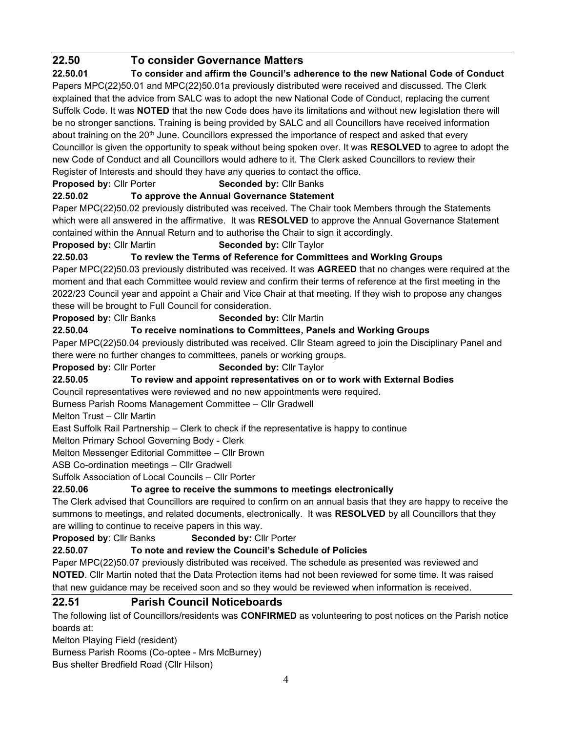# **22.50 To consider Governance Matters**

**22.50.01 To consider and affirm the Council's adherence to the new National Code of Conduct** Papers MPC(22)50.01 and MPC(22)50.01a previously distributed were received and discussed. The Clerk explained that the advice from SALC was to adopt the new National Code of Conduct, replacing the current Suffolk Code. It was **NOTED** that the new Code does have its limitations and without new legislation there will be no stronger sanctions. Training is being provided by SALC and all Councillors have received information about training on the 20<sup>th</sup> June. Councillors expressed the importance of respect and asked that every Councillor is given the opportunity to speak without being spoken over. It was **RESOLVED** to agree to adopt the new Code of Conduct and all Councillors would adhere to it. The Clerk asked Councillors to review their Register of Interests and should they have any queries to contact the office.

**Proposed by: Cllr Porter <b>Seconded by: Cllr Banks** 

# **22.50.02 To approve the Annual Governance Statement**

Paper MPC(22)50.02 previously distributed was received. The Chair took Members through the Statements which were all answered in the affirmative. It was **RESOLVED** to approve the Annual Governance Statement contained within the Annual Return and to authorise the Chair to sign it accordingly.

**Proposed by: Cllr Martin <b>Seconded by: Cllr Taylor** 

**22.50.03 To review the Terms of Reference for Committees and Working Groups** 

Paper MPC(22)50.03 previously distributed was received. It was **AGREED** that no changes were required at the moment and that each Committee would review and confirm their terms of reference at the first meeting in the 2022/23 Council year and appoint a Chair and Vice Chair at that meeting. If they wish to propose any changes these will be brought to Full Council for consideration.

# **Proposed by:** Cllr Banks **Seconded by:** Cllr Martin

#### **22.50.04 To receive nominations to Committees, Panels and Working Groups**

Paper MPC(22)50.04 previously distributed was received. Cllr Stearn agreed to join the Disciplinary Panel and there were no further changes to committees, panels or working groups.

**Proposed by: Cllr Porter <b>Seconded by: Cllr Taylor** 

# **22.50.05 To review and appoint representatives on or to work with External Bodies**

Council representatives were reviewed and no new appointments were required.

Burness Parish Rooms Management Committee – Cllr Gradwell

Melton Trust – Cllr Martin

East Suffolk Rail Partnership – Clerk to check if the representative is happy to continue

Melton Primary School Governing Body - Clerk

Melton Messenger Editorial Committee – Cllr Brown

ASB Co-ordination meetings – Cllr Gradwell

Suffolk Association of Local Councils – Cllr Porter

# **22.50.06 To agree to receive the summons to meetings electronically**

The Clerk advised that Councillors are required to confirm on an annual basis that they are happy to receive the summons to meetings, and related documents, electronically. It was **RESOLVED** by all Councillors that they are willing to continue to receive papers in this way.

**Proposed by**: Cllr Banks **Seconded by:** Cllr Porter

# **22.50.07 To note and review the Council's Schedule of Policies**

Paper MPC(22)50.07 previously distributed was received. The schedule as presented was reviewed and **NOTED**. Cllr Martin noted that the Data Protection items had not been reviewed for some time. It was raised that new guidance may be received soon and so they would be reviewed when information is received.

# **22.51 Parish Council Noticeboards**

The following list of Councillors/residents was **CONFIRMED** as volunteering to post notices on the Parish notice boards at:

Melton Playing Field (resident)

Burness Parish Rooms (Co-optee - Mrs McBurney)

Bus shelter Bredfield Road (Cllr Hilson)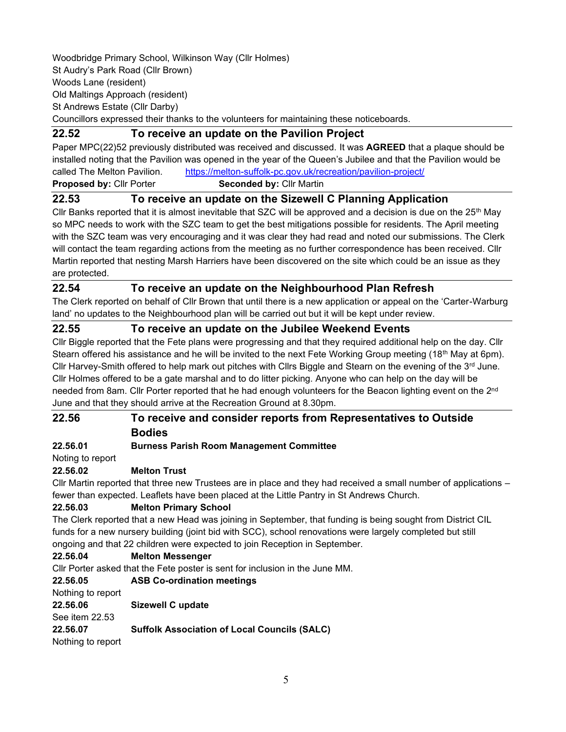Woodbridge Primary School, Wilkinson Way (Cllr Holmes) St Audry's Park Road (Cllr Brown) Woods Lane (resident) Old Maltings Approach (resident) St Andrews Estate (Cllr Darby) Councillors expressed their thanks to the volunteers for maintaining these noticeboards.

#### **22.52 To receive an update on the Pavilion Project**

Paper MPC(22)52 previously distributed was received and discussed. It was **AGREED** that a plaque should be installed noting that the Pavilion was opened in the year of the Queen's Jubilee and that the Pavilion would be called The Melton Pavilion. <https://melton-suffolk-pc.gov.uk/recreation/pavilion-project/> **Proposed by: Cllr Porter <b>Seconded by: Cllr Martin** 

# **22.53 To receive an update on the Sizewell C Planning Application**

Cllr Banks reported that it is almost inevitable that SZC will be approved and a decision is due on the  $25<sup>th</sup>$  May so MPC needs to work with the SZC team to get the best mitigations possible for residents. The April meeting with the SZC team was very encouraging and it was clear they had read and noted our submissions. The Clerk will contact the team regarding actions from the meeting as no further correspondence has been received. Cllr Martin reported that nesting Marsh Harriers have been discovered on the site which could be an issue as they are protected.

#### **22.54 To receive an update on the Neighbourhood Plan Refresh**

The Clerk reported on behalf of Cllr Brown that until there is a new application or appeal on the 'Carter-Warburg land' no updates to the Neighbourhood plan will be carried out but it will be kept under review.

#### **22.55 To receive an update on the Jubilee Weekend Events**

Cllr Biggle reported that the Fete plans were progressing and that they required additional help on the day. Cllr Stearn offered his assistance and he will be invited to the next Fete Working Group meeting (18<sup>th</sup> May at 6pm). Cllr Harvey-Smith offered to help mark out pitches with Cllrs Biggle and Stearn on the evening of the  $3^{rd}$  June. Cllr Holmes offered to be a gate marshal and to do litter picking. Anyone who can help on the day will be needed from 8am. Cllr Porter reported that he had enough volunteers for the Beacon lighting event on the 2<sup>nd</sup> June and that they should arrive at the Recreation Ground at 8.30pm.

# **22.56 To receive and consider reports from Representatives to Outside Bodies**

#### **22.56.01 Burness Parish Room Management Committee**

Noting to report

#### **22.56.02 Melton Trust**

Cllr Martin reported that three new Trustees are in place and they had received a small number of applications – fewer than expected. Leaflets have been placed at the Little Pantry in St Andrews Church.

#### **22.56.03 Melton Primary School**

The Clerk reported that a new Head was joining in September, that funding is being sought from District CIL funds for a new nursery building (joint bid with SCC), school renovations were largely completed but still ongoing and that 22 children were expected to join Reception in September.

#### **22.56.04 Melton Messenger**

Cllr Porter asked that the Fete poster is sent for inclusion in the June MM.

| 22,56,05          | <b>ASB Co-ordination meetings</b>                   |
|-------------------|-----------------------------------------------------|
| Nothing to report |                                                     |
| 22.56.06          | Sizewell C update                                   |
| See item 22.53    |                                                     |
| 22.56.07          | <b>Suffolk Association of Local Councils (SALC)</b> |
| Nothing to report |                                                     |